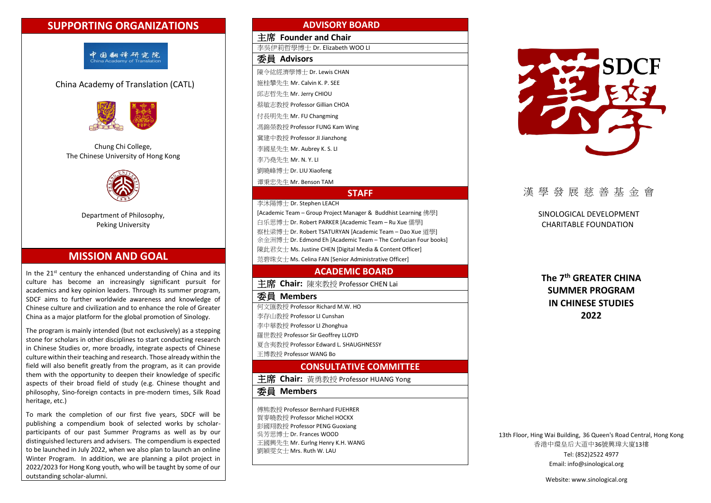# **SUPPORTING ORGANIZATIONS**



## China Academy of Translation (CATL)



Chung Chi College, The Chinese University of Hong Kong



Department of Philosophy, Peking University

# **MISSION AND GOAL**

In the 21<sup>st</sup> century the enhanced understanding of China and its culture has become an increasingly significant pursuit for academics and key opinion leaders. Through its summer program, SDCF aims to further worldwide awareness and knowledge of Chinese culture and civilization and to enhance the role of Greater China as a major platform for the global promotion of Sinology.

The program is mainly intended (but not exclusively) as a stepping stone for scholars in other disciplines to start conducting research in Chinese Studies or, more broadly, integrate aspects of Chinese culture within their teaching and research. Those already within the field will also benefit greatly from the program, as it can provide them with the opportunity to deepen their knowledge of specific aspects of their broad field of study (e.g. Chinese thought and philosophy, Sino-foreign contacts in pre-modern times, Silk Road heritage, etc.)

To mark the completion of our first five years, SDCF will be publishing a compendium book of selected works by scholarparticipants of our past Summer Programs as well as by our distinguished lecturers and advisers. The compendium is expected to be launched in July 2022, when we also plan to launch an online Winter Program. In addition, we are planning a pilot project in 2022/2023 for Hong Kong youth, who will be taught by some of our outstanding scholar-alumni.

### **ADVISORY BOARD**

主席 **Founder and Chair** 李吳伊莉哲學博士 Dr. Elizabeth WOO LI 委員 **Advisors** 陳令紘經濟學博士 Dr. Lewis CHAN 施桂攀先生 Mr. Calvin K. P. SEE 邱志哲先生 Mr. Jerry CHIOU 蔡敏志教授 Professor Gillian CHOA 付長明先生 Mr. FU Changming 馮錦榮教授 Professor FUNG Kam Wing 冀建中教授 Professor JI Jianzhong 李國星先生 Mr. Aubrey K. S. LI 李乃堯先生 Mr. N. Y. LI 劉曉峰博士 Dr. LIU Xiaofeng 谭秉忠先生 Mr. Benson TAM

### **STAFF**

李沐陽博士 Dr. Stephen LEACH [Academic Team – Group Project Manager & Buddhist Learning 佛學] 白乐思博士 Dr. Robert PARKER [Academic Team – Ru Xue 儒學] 察杜梁博士 Dr. Robert TSATURYAN [Academic Team – Dao Xue 道學] 余金洲博士 Dr. Edmond Eh [Academic Team – The Confucian Four books]

陳此君女士 Ms. Justine CHEN [Digital Media & Content Officer]

范碧珠女士 Ms. Celina FAN [Senior Administrative Officer]

### **ACADEMIC BOARD**

## 主席 **Chair:** 陳來教授 Professor CHEN Lai

#### 委員 **Members**

何文匯教授 Professor Richard M.W. HO

李存山教授 Professor LI Cunshan

李中華教授 Professor LI Zhonghua

羅世教授 Professor Sir Geoffrey LLOYD

夏含夷教授 Professor Edward L. SHAUGHNESSY

王博教授 Professor WANG Bo

# **CONSULTATIVE COMMITTEE**

主席 **Chair:** 黃勇教授 Professor HUANG Yong

委員 **Members**

傅熊教授 Professor Bernhard FUEHRER 賀麥曉教授 Professor Michel HOCKX 彭國翔教授 Professor PENG Guoxiang 吳芳思博士 Dr. Frances WOOD 王國興先生 Mr. Eurlng Henry K.H. WANG 劉穎雯女士 Mrs. Ruth W. LAU



# 漢學發展慈善基金會

SINOLOGICAL DEVELOPMENT CHARITABLE FOUNDATION

**The 7th GREATER CHINA SUMMER PROGRAM IN CHINESE STUDIES 2022**

13th Floor, Hing Wai Building, 36 Queen's Road Central, Hong Kong 香港中環皇后大道中36號興瑋大廈13樓 Tel: (852)2522 4977 Email[: info@sinological.org](mailto:info@sinological.org)